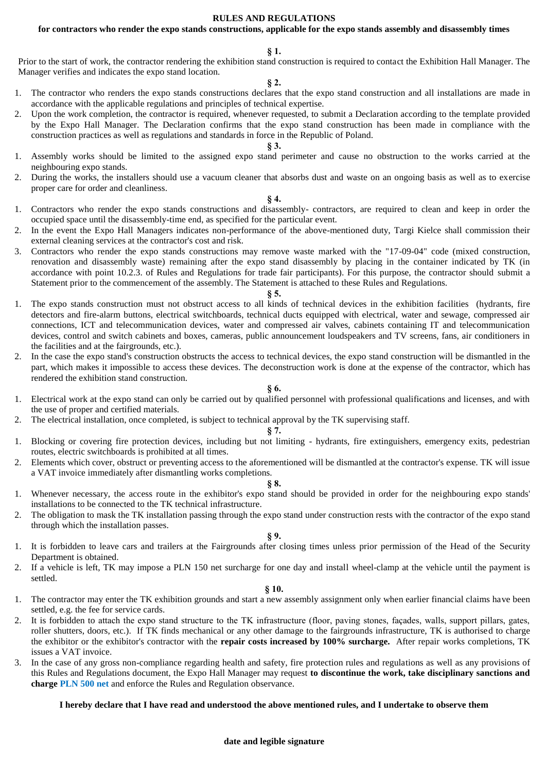### **RULES AND REGULATIONS**

## **for contractors who render the expo stands constructions, applicable for the expo stands assembly and disassembly times**

#### **§ 1.**

Prior to the start of work, the contractor rendering the exhibition stand construction is required to contact the Exhibition Hall Manager. The Manager verifies and indicates the expo stand location.

#### **§ 2.**

- 1. The contractor who renders the expo stands constructions declares that the expo stand construction and all installations are made in accordance with the applicable regulations and principles of technical expertise.
- 2. Upon the work completion, the contractor is required, whenever requested, to submit a Declaration according to the template provided by the Expo Hall Manager. The Declaration confirms that the expo stand construction has been made in compliance with the construction practices as well as regulations and standards in force in the Republic of Poland.

## **§ 3.**

- 1. Assembly works should be limited to the assigned expo stand perimeter and cause no obstruction to the works carried at the neighbouring expo stands.
- 2. During the works, the installers should use a vacuum cleaner that absorbs dust and waste on an ongoing basis as well as to exercise proper care for order and cleanliness.

#### **§ 4.**

- 1. Contractors who render the expo stands constructions and disassembly- contractors, are required to clean and keep in order the occupied space until the disassembly-time end, as specified for the particular event.
- 2. In the event the Expo Hall Managers indicates non-performance of the above-mentioned duty, Targi Kielce shall commission their external cleaning services at the contractor's cost and risk.
- 3. Contractors who render the expo stands constructions may remove waste marked with the "17-09-04" code (mixed construction, renovation and disassembly waste) remaining after the expo stand disassembly by placing in the container indicated by TK (in accordance with point 10.2.3. of Rules and Regulations for trade fair participants). For this purpose, the contractor should submit a Statement prior to the commencement of the assembly. The Statement is attached to these Rules and Regulations.

#### **§ 5.**

- 1. The expo stands construction must not obstruct access to all kinds of technical devices in the exhibition facilities (hydrants, fire detectors and fire-alarm buttons, electrical switchboards, technical ducts equipped with electrical, water and sewage, compressed air connections, ICT and telecommunication devices, water and compressed air valves, cabinets containing IT and telecommunication devices, control and switch cabinets and boxes, cameras, public announcement loudspeakers and TV screens, fans, air conditioners in the facilities and at the fairgrounds, etc.).
- 2. In the case the expo stand's construction obstructs the access to technical devices, the expo stand construction will be dismantled in the part, which makes it impossible to access these devices. The deconstruction work is done at the expense of the contractor, which has rendered the exhibition stand construction.

### **§ 6.**

- 1. Electrical work at the expo stand can only be carried out by qualified personnel with professional qualifications and licenses, and with the use of proper and certified materials.
- 2. The electrical installation, once completed, is subject to technical approval by the TK supervising staff.

## **§ 7.**

- 1. Blocking or covering fire protection devices, including but not limiting hydrants, fire extinguishers, emergency exits, pedestrian routes, electric switchboards is prohibited at all times.
- 2. Elements which cover, obstruct or preventing access to the aforementioned will be dismantled at the contractor's expense. TK will issue a VAT invoice immediately after dismantling works completions.

#### **§ 8.**

- 1. Whenever necessary, the access route in the exhibitor's expo stand should be provided in order for the neighbouring expo stands' installations to be connected to the TK technical infrastructure.
- 2. The obligation to mask the TK installation passing through the expo stand under construction rests with the contractor of the expo stand through which the installation passes.

## **§ 9.**

- 1. It is forbidden to leave cars and trailers at the Fairgrounds after closing times unless prior permission of the Head of the Security Department is obtained.
- 2. If a vehicle is left, TK may impose a PLN 150 net surcharge for one day and install wheel-clamp at the vehicle until the payment is settled.

### **§ 10.**

- 1. The contractor may enter the TK exhibition grounds and start a new assembly assignment only when earlier financial claims have been settled, e.g. the fee for service cards.
- 2. It is forbidden to attach the expo stand structure to the TK infrastructure (floor, paving stones, façades, walls, support pillars, gates, roller shutters, doors, etc.). If TK finds mechanical or any other damage to the fairgrounds infrastructure, TK is authorised to charge the exhibitor or the exhibitor's contractor with the **repair costs increased by 100% surcharge.** After repair works completions, TK issues a VAT invoice.
- 3. In the case of any gross non-compliance regarding health and safety, fire protection rules and regulations as well as any provisions of this Rules and Regulations document, the Expo Hall Manager may request **to discontinue the work, take disciplinary sanctions and charge PLN 500 net** and enforce the Rules and Regulation observance.

## **I hereby declare that I have read and understood the above mentioned rules, and I undertake to observe them**

#### **date and legible signature**